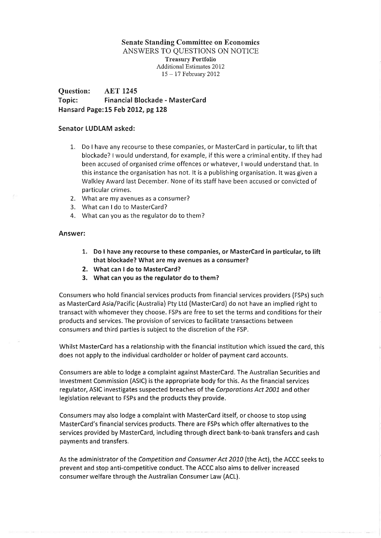## Senate Standing Committee on Economics ANSWERS TO QUESTIONS ON NOTICE Treasury Portfolio Additional Estimates 20 12 <sup>15</sup>- l'7 Februarv 2012

Question: AET 1245<br>Topic: Financial B Financial Blockade - MasterCard Hansard Page:15 Feb2012, pg 128

## Senator LUDLAM asked:

- 1. Do I have any recourse to these companies, or MasterCard in particular, to lift that blockade? I would understand, for example, if this were a criminal entity. If they had been accused of organised crime offences or whatever, I would understand that. In this instance the organisation has not. lt is a publishing organisation. lt was given <sup>a</sup> Walkley Award last December. None of its staff have been accused or convicted of particular crimes.
- 2. What are my avenues as a consumer?
- 3. What can I do to MasterCard?
- 4. What can you as the regulator do to them?

## Answer:

- 1. Do I have any recourse to these companies, or MasterCard in particular, to lift that blockade? What are my avenues as a consumer?
- 2. What can I do to MasterCard?
- 3. What can you as the regulator do to them?

Consumers who hold financial services products from financial services providers (FSPs) such as MasterCard Asia/Pacific (Australia) Pty Ltd (MasterCard) do not have an implied right to transact with whomever they choose. FSPs are free to set the terms and conditions for their products and services. The provision of services to facilitate transactions between consumers and third parties is subject to the discretion of the FSP.

Whilst MasterCard has a relationship with the financial institution which issued the card, this does not apply to the individual cardholder or holder of payment card accounts.

Consumers are able to lodge a complaint against MasterCard. The Australian Securities and Investment Commission (ASIC) is the appropriate body for this. As the financial services regulator, ASIC investigates suspected breaches of the Corporations Act 2001 and other legislation relevant to FSPs and the products they provide.

Consumers may also lodge a complaint with MasterCard itself, or choose to stop using MasterCard's financial services products. There are FSPs which offer alternatives to the services provided by MasterCard, including through direct bank-to-bank transfers and cash payments and transfers.

As the administrator of the Competition and Consumer Act 2010 (the Act), the ACCC seeks to prevent and stop ant¡-competitive conduct. The ACCC also aims to deliver increased consumer welfare through the Australian Consumer Law (ACL).